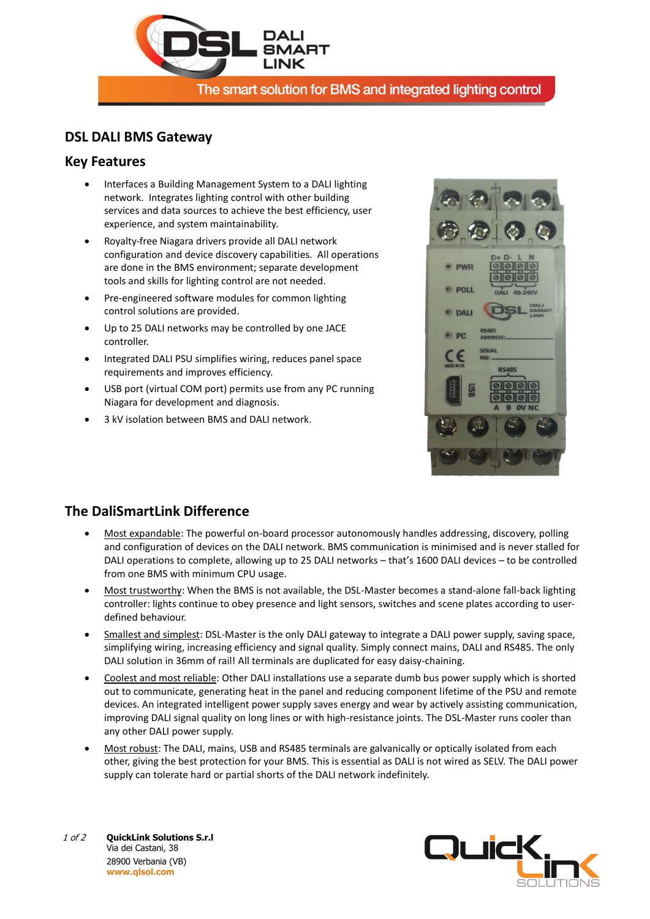

The smart solution for BMS and integrated lighting control

#### **DSL DALI BMS Gateway**

#### **Key Features**

- Interfaces a Building Management System to a DALI lighting network. Integrates lighting control with other building services and data sources to achieve the best efficiency, user experience, and system maintainability.
- Royalty-free Niagara drivers provide all DALI network configuration and device discovery capabilities. All operations are done in the BMS environment; separate development tools and skills for lighting control are not needed.
- Pre-engineered software modules for common lighting control solutions are provided.
- Up to 25 DALI networks may be controlled by one JACE controller.
- Integrated DALI PSU simplifies wiring, reduces panel space requirements and improves efficiency.
- USB port (virtual COM port) permits use from any PC running Niagara for development and diagnosis.
- 3 kV isolation between BMS and DALI network.



## **The DaliSmartLink Difference**

- Most expandable: The powerful on-board processor autonomously handles addressing, discovery, polling and configuration of devices on the DALI network. BMS communication is minimised and is never stalled for DALI operations to complete, allowing up to 25 DALI networks – that's 1600 DALI devices – to be controlled from one BMS with minimum CPU usage.
- Most trustworthy: When the BMS is not available, the DSL-Master becomes a stand-alone fall-back lighting controller: lights continue to obey presence and light sensors, switches and scene plates according to userdefined behaviour.
- Smallest and simplest: DSL-Master is the only DALI gateway to integrate a DALI power supply, saving space, simplifying wiring, increasing efficiency and signal quality. Simply connect mains, DALI and RS485. The only DALI solution in 36mm of rail! All terminals are duplicated for easy daisy-chaining.
- Coolest and most reliable: Other DALI installations use a separate dumb bus power supply which is shorted out to communicate, generating heat in the panel and reducing component lifetime of the PSU and remote devices. An integrated intelligent power supply saves energy and wear by actively assisting communication, improving DALI signal quality on long lines or with high-resistance joints. The DSL-Master runs cooler than any other DALI power supply.
- Most robust: The DALI, mains, USB and RS485 terminals are galvanically or optically isolated from each other, giving the best protection for your BMS. This is essential as DALI is not wired as SELV. The DALI power supply can tolerate hard or partial shorts of the DALI network indefinitely.